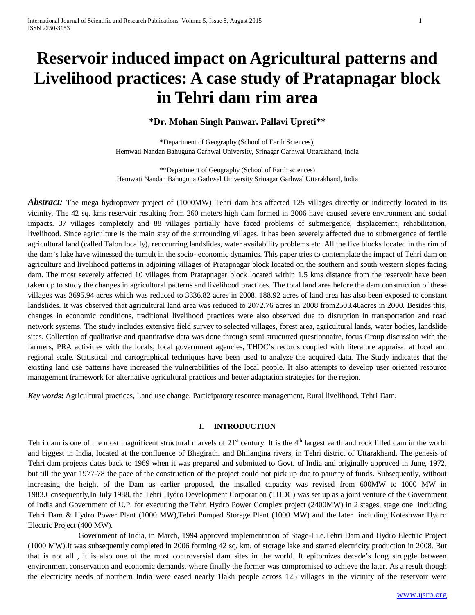# **Reservoir induced impact on Agricultural patterns and Livelihood practices: A case study of Pratapnagar block in Tehri dam rim area**

# **\*Dr. Mohan Singh Panwar. Pallavi Upreti\*\***

\*Department of Geography (School of Earth Sciences), Hemwati Nandan Bahuguna Garhwal University, Srinagar Garhwal Uttarakhand, India

\*\*Department of Geography (School of Earth sciences) Hemwati Nandan Bahuguna Garhwal University Srinagar Garhwal Uttarakhand, India

*Abstract:* The mega hydropower project of (1000MW) Tehri dam has affected 125 villages directly or indirectly located in its vicinity. The 42 sq. kms reservoir resulting from 260 meters high dam formed in 2006 have caused severe environment and social impacts. 37 villages completely and 88 villages partially have faced problems of submergence, displacement, rehabilitation, livelihood. Since agriculture is the main stay of the surrounding villages, it has been severely affected due to submergence of fertile agricultural land (called Talon locally), reoccurring landslides, water availability problems etc. All the five blocks located in the rim of the dam's lake have witnessed the tumult in the socio- economic dynamics. This paper tries to contemplate the impact of Tehri dam on agriculture and livelihood patterns in adjoining villages of Pratapnagar block located on the southern and south western slopes facing dam. The most severely affected 10 villages from Pratapnagar block located within 1.5 kms distance from the reservoir have been taken up to study the changes in agricultural patterns and livelihood practices. The total land area before the dam construction of these villages was 3695.94 acres which was reduced to 3336.82 acres in 2008. 188.92 acres of land area has also been exposed to constant landslides. It was observed that agricultural land area was reduced to 2072.76 acres in 2008 from2503.46acres in 2000. Besides this, changes in economic conditions, traditional livelihood practices were also observed due to disruption in transportation and road network systems. The study includes extensive field survey to selected villages, forest area, agricultural lands, water bodies, landslide sites. Collection of qualitative and quantitative data was done through semi structured questionnaire, focus Group discussion with the farmers, PRA activities with the locals, local government agencies, THDC's records coupled with literature appraisal at local and regional scale. Statistical and cartographical techniques have been used to analyze the acquired data. The Study indicates that the existing land use patterns have increased the vulnerabilities of the local people. It also attempts to develop user oriented resource management framework for alternative agricultural practices and better adaptation strategies for the region.

*Key words***:** Agricultural practices, Land use change, Participatory resource management, Rural livelihood, Tehri Dam,

# **I. INTRODUCTION**

Tehri dam is one of the most magnificent structural marvels of  $21<sup>st</sup>$  century. It is the  $4<sup>th</sup>$  largest earth and rock filled dam in the world and biggest in India, located at the confluence of Bhagirathi and Bhilangina rivers, in Tehri district of Uttarakhand. The genesis of Tehri dam projects dates back to 1969 when it was prepared and submitted to Govt. of India and originally approved in June, 1972, but till the year 1977-78 the pace of the construction of the project could not pick up due to paucity of funds. Subsequently, without increasing the height of the Dam as earlier proposed, the installed capacity was revised from 600MW to 1000 MW in 1983.Consequently,In July 1988, the Tehri Hydro Development Corporation (THDC) was set up as a joint venture of the Government of India and Government of U.P. for executing the Tehri Hydro Power Complex project (2400MW) in 2 stages, stage one including Tehri Dam & Hydro Power Plant (1000 MW),Tehri Pumped Storage Plant (1000 MW) and the later including Koteshwar Hydro Electric Project (400 MW).

 Government of India, in March, 1994 approved implementation of Stage-I i.e.Tehri Dam and Hydro Electric Project (1000 MW).It was subsequently completed in 2006 forming 42 sq. km. of storage lake and started electricity production in 2008. But that is not all , it is also one of the most controversial dam sites in the world. It epitomizes decade's long struggle between environment conservation and economic demands, where finally the former was compromised to achieve the later. As a result though the electricity needs of northern India were eased nearly 1lakh people across 125 villages in the vicinity of the reservoir were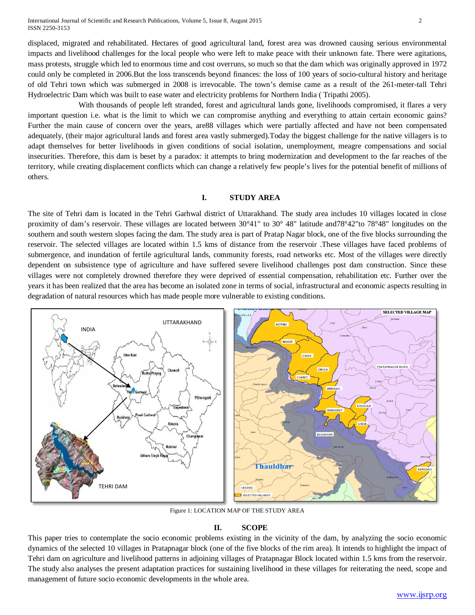International Journal of Scientific and Research Publications, Volume 5, Issue 8, August 2015 2 ISSN 2250-3153

displaced, migrated and rehabilitated. Hectares of good agricultural land, forest area was drowned causing serious environmental impacts and livelihood challenges for the local people who were left to make peace with their unknown fate. There were agitations, mass protests, struggle which led to enormous time and cost overruns, so much so that the dam which was originally approved in 1972 could only be completed in 2006.But the loss transcends beyond finances: the loss of 100 years of socio-cultural history and heritage of old Tehri town which was submerged in 2008 is irrevocable. The town's demise came as a result of the 261-meter-tall Tehri Hydroelectric Dam which was built to ease water and electricity problems for Northern India ( Tripathi 2005).

 With thousands of people left stranded, forest and agricultural lands gone, livelihoods compromised, it flares a very important question i.e. what is the limit to which we can compromise anything and everything to attain certain economic gains? Further the main cause of concern over the years, are88 villages which were partially affected and have not been compensated adequately, (their major agricultural lands and forest area vastly submerged).Today the biggest challenge for the native villagers is to adapt themselves for better livelihoods in given conditions of social isolation, unemployment, meagre compensations and social insecurities. Therefore, this dam is beset by a paradox: it attempts to bring modernization and development to the far reaches of the territory, while creating displacement conflicts which can change a relatively few people's lives for the potential benefit of millions of others.

# **I. STUDY AREA**

The site of Tehri dam is located in the Tehri Garhwal district of Uttarakhand. The study area includes 10 villages located in close proximity of dam's reservoir. These villages are located between 30°41" to 30° 48" latitude and78°42"to 78°48" longitudes on the southern and south western slopes facing the dam. The study area is part of Pratap Nagar block, one of the five blocks surrounding the reservoir. The selected villages are located within 1.5 kms of distance from the reservoir .These villages have faced problems of submergence, and inundation of fertile agricultural lands, community forests, road networks etc. Most of the villages were directly dependent on subsistence type of agriculture and have suffered severe livelihood challenges post dam construction. Since these villages were not completely drowned therefore they were deprived of essential compensation, rehabilitation etc. Further over the years it has been realized that the area has become an isolated zone in terms of social, infrastructural and economic aspects resulting in degradation of natural resources which has made people more vulnerable to existing conditions.



Figure 1: LOCATION MAP OF THE STUDY AREA

## **II. SCOPE**

This paper tries to contemplate the socio economic problems existing in the vicinity of the dam, by analyzing the socio economic dynamics of the selected 10 villages in Pratapnagar block (one of the five blocks of the rim area). It intends to highlight the impact of Tehri dam on agriculture and livelihood patterns in adjoining villages of Pratapnagar Block located within 1.5 kms from the reservoir. The study also analyses the present adaptation practices for sustaining livelihood in these villages for reiterating the need, scope and management of future socio economic developments in the whole area.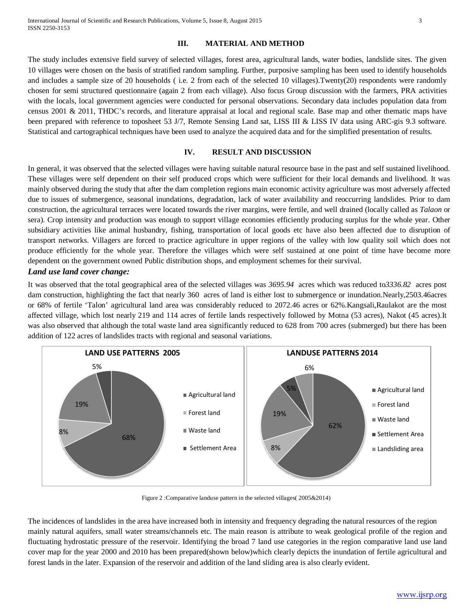## **III. MATERIAL AND METHOD**

The study includes extensive field survey of selected villages, forest area, agricultural lands, water bodies, landslide sites. The given 10 villages were chosen on the basis of stratified random sampling. Further, purposive sampling has been used to identify households and includes a sample size of 20 households ( i.e. 2 from each of the selected 10 villages).Twenty(20) respondents were randomly chosen for semi structured questionnaire (again 2 from each village). Also focus Group discussion with the farmers, PRA activities with the locals, local government agencies were conducted for personal observations. Secondary data includes population data from census 2001 & 2011, THDC's records, and literature appraisal at local and regional scale. Base map and other thematic maps have been prepared with reference to toposheet 53 J/7, Remote Sensing Land sat, LISS III & LISS IV data using ARC-gis 9.3 software. Statistical and cartographical techniques have been used to analyze the acquired data and for the simplified presentation of results.

## **IV. RESULT AND DISCUSSION**

In general, it was observed that the selected villages were having suitable natural resource base in the past and self sustained livelihood. These villages were self dependent on their self produced crops which were sufficient for their local demands and livelihood. It was mainly observed during the study that after the dam completion regions main economic activity agriculture was most adversely affected due to issues of submergence, seasonal inundations, degradation, lack of water availability and reoccurring landslides. Prior to dam construction, the agricultural terraces were located towards the river margins, were fertile, and well drained (locally called as *Talaon* or sera). Crop intensity and production was enough to support village economies efficiently producing surplus for the whole year. Other subsidiary activities like animal husbandry, fishing, transportation of local goods etc have also been affected due to disruption of transport networks. Villagers are forced to practice agriculture in upper regions of the valley with low quality soil which does not produce efficiently for the whole year. Therefore the villages which were self sustained at one point of time have become more dependent on the government owned Public distribution shops, and employment schemes for their survival.

## *Land use land cover change:*

It was observed that the total geographical area of the selected villages was *3695.94* acres which was reduced to*3336.82* acres post dam construction, highlighting the fact that nearly 360 acres of land is either lost to submergence or inundation.Nearly,2503.46acres or 68% of fertile 'Talon' agricultural land area was considerably reduced to 2072.46 acres or 62%.Kangsali,Raulakot are the most affected village, which lost nearly 219 and 114 acres of fertile lands respectively followed by Motna (53 acres), Nakot (45 acres).It was also observed that although the total waste land area significantly reduced to 628 from 700 acres (submerged) but there has been addition of 122 acres of landslides tracts with regional and seasonal variations.



Figure 2 :Comparative landuse pattern in the selected villages( 2005&2014)

The incidences of landslides in the area have increased both in intensity and frequency degrading the natural resources of the region mainly natural aquifers, small water streams/channels etc. The main reason is attribute to weak geological profile of the region and fluctuating hydrostatic pressure of the reservoir. Identifying the broad 7 land use categories in the region comparative land use land cover map for the year 2000 and 2010 has been prepared(shown below)which clearly depicts the inundation of fertile agricultural and forest lands in the later. Expansion of the reservoir and addition of the land sliding area is also clearly evident.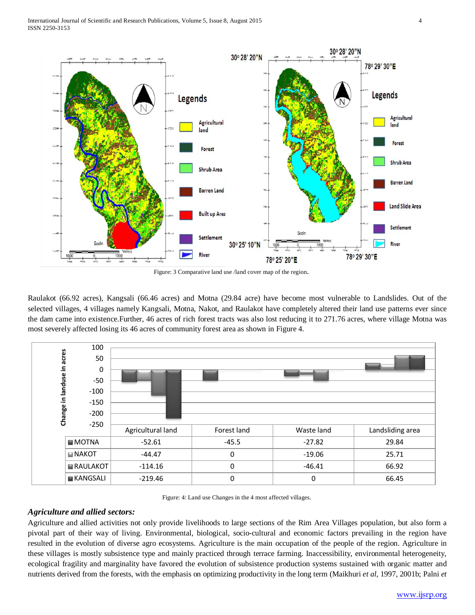

Figure: 3 Comparative land use /land cover map of the region.

Raulakot (66.92 acres), Kangsali (66.46 acres) and Motna (29.84 acre) have become most vulnerable to Landslides. Out of the selected villages, 4 villages namely Kangsali, Motna, Nakot, and Raulakot have completely altered their land use patterns ever since the dam came into existence.Further, 46 acres of rich forest tracts was also lost reducing it to 271.76 acres, where village Motna was most severely affected losing its 46 acres of community forest area as shown in Figure 4.



Figure: 4: Land use Changes in the 4 most affected villages.

## *Agriculture and allied sectors:*

Agriculture and allied activities not only provide livelihoods to large sections of the Rim Area Villages population, but also form a pivotal part of their way of living. Environmental, biological, socio-cultural and economic factors prevailing in the region have resulted in the evolution of diverse agro ecosystems. Agriculture is the main occupation of the people of the region. Agriculture in these villages is mostly subsistence type and mainly practiced through terrace farming. Inaccessibility, environmental heterogeneity, ecological fragility and marginality have favored the evolution of subsistence production systems sustained with organic matter and nutrients derived from the forests, with the emphasis on optimizing productivity in the long term (Maikhuri *et al*, 1997, 2001b; Palni *et*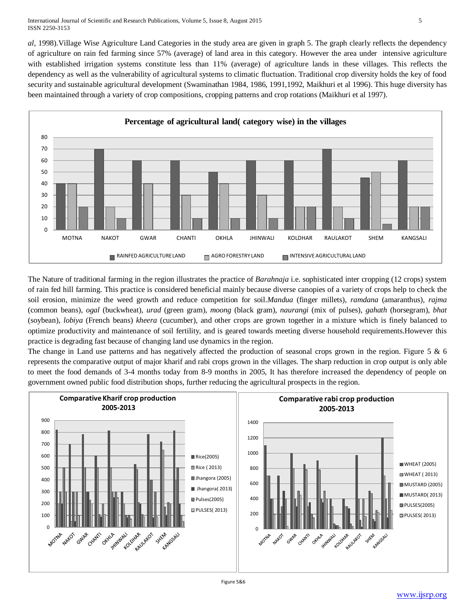#### International Journal of Scientific and Research Publications, Volume 5, Issue 8, August 2015 5 ISSN 2250-3153

*al*, 1998).Village Wise Agriculture Land Categories in the study area are given in graph 5. The graph clearly reflects the dependency of agriculture on rain fed farming since 57% (average) of land area in this category. However the area under intensive agriculture with established irrigation systems constitute less than 11% (average) of agriculture lands in these villages. This reflects the dependency as well as the vulnerability of agricultural systems to climatic fluctuation. Traditional crop diversity holds the key of food security and sustainable agricultural development (Swaminathan 1984, 1986, 1991,1992, Maikhuri et al 1996). This huge diversity has been maintained through a variety of crop compositions, cropping patterns and crop rotations (Maikhuri et al 1997).



The Nature of traditional farming in the region illustrates the practice of *Barahnaja* i.e. sophisticated inter cropping (12 crops) system of rain fed hill farming. This practice is considered beneficial mainly because diverse canopies of a variety of crops help to check the soil erosion, minimize the weed growth and reduce competition for soil.*Mandua* (finger millets), *ramdana* (amaranthus), *rajma* (common beans), *ogal* (buckwheat), *urad* (green gram), *moong* (black gram), *naurangi* (mix of pulses), *gahath* (horsegram), *bhat* (soybean), *lobiya* (French beans) *kheera* (cucumber), and other crops are grown together in a mixture which is finely balanced to optimize productivity and maintenance of soil fertility, and is geared towards meeting diverse household requirements.However this practice is degrading fast because of changing land use dynamics in the region.

The change in Land use patterns and has negatively affected the production of seasonal crops grown in the region. Figure 5 & 6 represents the comparative output of major kharif and rabi crops grown in the villages. The sharp reduction in crop output is only able to meet the food demands of 3-4 months today from 8-9 months in 2005, It has therefore increased the dependency of people on government owned public food distribution shops, further reducing the agricultural prospects in the region.

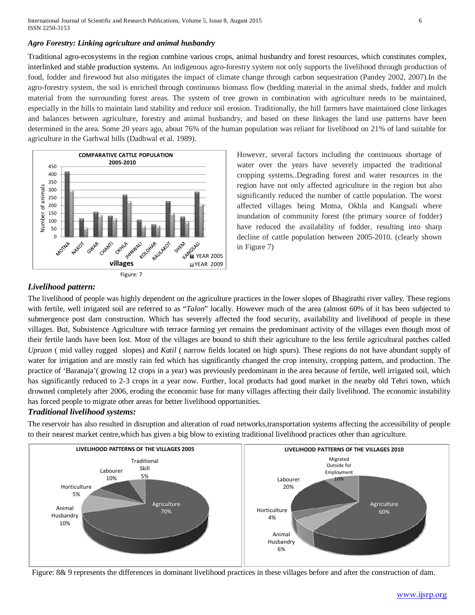International Journal of Scientific and Research Publications, Volume 5, Issue 8, August 2015 6 ISSN 2250-3153

## *Agro Forestry: Linking agriculture and animal husbandry*

Traditional agro-ecosystems in the region combine various crops, animal husbandry and forest resources, which constitutes complex, interlinked and stable production systems. An indigenous agro-forestry system not only supports the livelihood through production of food, fodder and firewood but also mitigates the impact of climate change through carbon sequestration (Pandey 2002, 2007).In the agro-forestry system, the soil is enriched through continuous biomass flow (bedding material in the animal sheds, fodder and mulch material from the surrounding forest areas. The system of tree grown in combination with agriculture needs to be maintained, especially in the hills to maintain land stability and reduce soil erosion. Traditionally, the hill farmers have maintained close linkages and balances between agriculture, forestry and animal husbandry, and based on these linkages the land use patterns have been determined in the area. Some 20 years ago, about 76% of the human population was reliant for livelihood on 21% of land suitable for agriculture in the Garhwal hills (Dadhwal et al. 1989).



However, several factors including the continuous shortage of water over the years have severely impacted the traditional cropping systems..Degrading forest and water resources in the region have not only affected agriculture in the region but also significantly reduced the number of cattle population. The worst affected villages being Motna, Okhla and Kangsali where inundation of community forest (the primary source of fodder) have reduced the availability of fodder, resulting into sharp decline of cattle population between 2005-2010. (clearly shown in Figure 7)

# *Livelihood pattern:*

The livelihood of people was highly dependent on the agriculture practices in the lower slopes of Bhagirathi river valley. These regions with fertile, well irrigated soil are referred to as "*Talon*" locally. However much of the area (almost 60% of it has been subjected to submergence post dam construction. Which has severely affected the food security, availability and livelihood of people in these villages. But, Subsistence Agriculture with terrace farming yet remains the predominant activity of the villages even though most of their fertile lands have been lost. Most of the villages are bound to shift their agriculture to the less fertile agricultural patches called *Upraon* ( mid valley rugged slopes) and *Katil* ( narrow fields located on high spurs). These regions do not have abundant supply of water for irrigation and are mostly rain fed which has significantly changed the crop intensity, cropping pattern, and production. The practice of 'Baranaja'( growing 12 crops in a year) was previously predominant in the area because of fertile, well irrigated soil, which has significantly reduced to 2-3 crops in a year now. Further, local products had good market in the nearby old Tehri town, which drowned completely after 2006, eroding the economic base for many villages affecting their daily livelihood. The economic instability has forced people to migrate other areas for better livelihood opportunities.

# *Traditional livelihood systems:*

The reservoir has also resulted in disruption and alteration of road networks,transportation systems affecting the accessibility of people to their nearest market centre,which has given a big blow to existing traditional livelihood practices other than agriculture.



Figure: 8& 9 represents the differences in dominant livelihood practices in these villages before and after the construction of dam.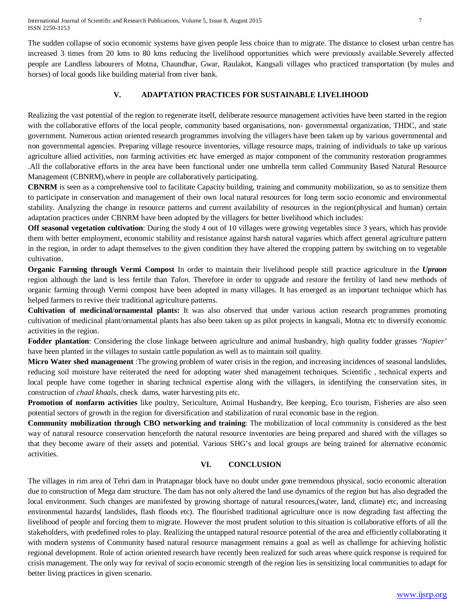The sudden collapse of socio economic systems have given people less choice than to migrate. The distance to closest urban centre has increased 3 times from 20 kms to 80 kms reducing the livelihood opportunities which were previously available.Severely affected people are Landless labourers of Motna, Chaundhar, Gwar, Raulakot, Kangsali villages who practiced transportation (by mules and horses) of local goods like building material from river bank.

# **V. ADAPTATION PRACTICES FOR SUSTAINABLE LIVELIHOOD**

Realizing the vast potential of the region to regenerate itself, deliberate resource management activities have been started in the region with the collaborative efforts of the local people, community based organisations, non-governmental organization, THDC, and state government. Numerous action oriented research programmes involving the villagers have been taken up by various governmental and non governmental agencies. Preparing village resource inventories, village resource maps, training of individuals to take up various agriculture allied activities, non farming activities etc have emerged as major component of the community restoration programmes .All the collaborative efforts in the area have been functional under one umbrella term called Community Based Natural Resource Management (CBNRM),where in people are collaboratively participating.

**CBNRM** is seen as a comprehensive tool to facilitate Capacity building, training and community mobilization, so as to sensitize them to participate in conservation and management of their own local natural resources for long term socio economic and environmental stability. Analyzing the change in resource patterns and current availability of resources in the region(physical and human) certain adaptation practices under CBNRM have been adopted by the villagers for better livelihood which includes:

**Off seasonal vegetation cultivation**: During the study 4 out of 10 villages were growing vegetables since 3 years, which has provide them with better employment, economic stability and resistance against harsh natural vagaries which affect general agriculture pattern in the region, in order to adapt themselves to the given condition they have altered the cropping pattern by switching on to vegetable cultivation.

**Organic Farming through Vermi Compost** In order to maintain their livelihood people still practice agriculture in the *Upraon* region although the land is less fertile than *Talon*. Therefore in order to upgrade and restore the fertility of land new methods of organic farming through Vermi compost have been adopted in many villages. It has emerged as an important technique which has helped farmers to revive their traditional agriculture patterns.

**Cultivation of medicinal/ornamental plants:** It was also observed that under various action research programmes promoting cultivation of medicinal plant/ornamental plants has also been taken up as pilot projects in kangsali, Motna etc to diversify economic activities in the region.

**Fodder plantation**: Considering the close linkage between agriculture and animal husbandry, high quality fodder grasses *'Napier'* have been planted in the villages to sustain cattle population as well as to maintain soil quality.

**Micro Water shed management** :The growing problem of water crisis in the region, and increasing incidences of seasonal landslides, reducing soil moisture have reiterated the need for adopting water shed management techniques. Scientific , technical experts and local people have come together in sharing technical expertise along with the villagers, in identifying the conservation sites, in construction of *chaal khaals*, check dams, water harvesting pits etc.

**Promotion of nonfarm activities** like poultry, Sericulture, Animal Husbandry, Bee keeping, Eco tourism, Fisheries are also seen potential sectors of growth in the region for diversification and stabilization of rural economic base in the region.

**Community mobilization through CBO networking and training**: The mobilization of local community is considered as the best way of natural resource conservation henceforth the natural resource inventories are being prepared and shared with the villages so that they become aware of their assets and potential. Various SHG's and local groups are being trained for alternative economic activities.

# **VI. CONCLUSION**

The villages in rim area of Tehri dam in Pratapnagar block have no doubt under gone tremendous physical, socio economic alteration due to construction of Mega dam structure. The dam has not only altered the land use dynamics of the region but has also degraded the local environment. Such changes are manifested by growing shortage of natural resources, (water, land, climate) etc, and increasing environmental hazards( landslides, flash floods etc). The flourished traditional agriculture once is now degrading fast affecting the livelihood of people and forcing them to migrate. However the most prudent solution to this situation is collaborative efforts of all the stakeholders, with predefined roles to play. Realizing the untapped natural resource potential of the area and efficiently collaborating it with modern systems of Community based natural resource management remains a goal as well as challenge for achieving holistic regional development. Role of action oriented research have recently been realized for such areas where quick response is required for crisis management. The only way for revival of socio economic strength of the region lies in sensitizing local communities to adapt for better living practices in given scenario.